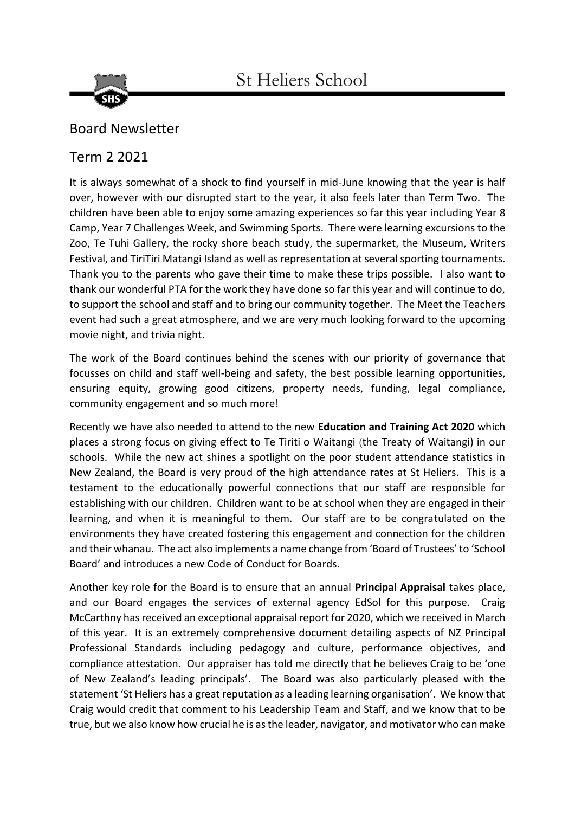



## Board Newsletter

## Term 2 2021

It is always somewhat of a shock to find yourself in mid-June knowing that the year is half over, however with our disrupted start to the year, it also feels later than Term Two. The children have been able to enjoy some amazing experiences so far this year including Year 8 Camp, Year 7 Challenges Week, and Swimming Sports. There were learning excursions to the Zoo, Te Tuhi Gallery, the rocky shore beach study, the supermarket, the Museum, Writers Festival, and TiriTiri Matangi Island as well as representation at several sporting tournaments. Thank you to the parents who gave their time to make these trips possible. I also want to thank our wonderful PTA for the work they have done so far this year and will continue to do, to support the school and staff and to bring our community together. The Meet the Teachers event had such a great atmosphere, and we are very much looking forward to the upcoming movie night, and trivia night.

The work of the Board continues behind the scenes with our priority of governance that focusses on child and staff well-being and safety, the best possible learning opportunities, ensuring equity, growing good citizens, property needs, funding, legal compliance, community engagement and so much more!

Recently we have also needed to attend to the new **Education and Training Act 2020** which places a strong focus on giving effect to Te Tiriti o Waitangi (the Treaty of Waitangi) in our schools. While the new act shines a spotlight on the poor student attendance statistics in New Zealand, the Board is very proud of the high attendance rates at St Heliers. This is a testament to the educationally powerful connections that our staff are responsible for establishing with our children. Children want to be at school when they are engaged in their learning, and when it is meaningful to them. Our staff are to be congratulated on the environments they have created fostering this engagement and connection for the children and their whanau. The act also implements a name change from 'Board of Trustees' to 'School Board' and introduces a new Code of Conduct for Boards.

Another key role for the Board is to ensure that an annual **Principal Appraisal** takes place, and our Board engages the services of external agency EdSol for this purpose. Craig McCarthny has received an exceptional appraisal report for 2020, which we received in March of this year. It is an extremely comprehensive document detailing aspects of NZ Principal Professional Standards including pedagogy and culture, performance objectives, and compliance attestation. Our appraiser has told me directly that he believes Craig to be 'one of New Zealand's leading principals'. The Board was also particularly pleased with the statement 'St Heliers has a great reputation as a leading learning organisation'. We know that Craig would credit that comment to his Leadership Team and Staff, and we know that to be true, but we also know how crucial he is as the leader, navigator, and motivator who can make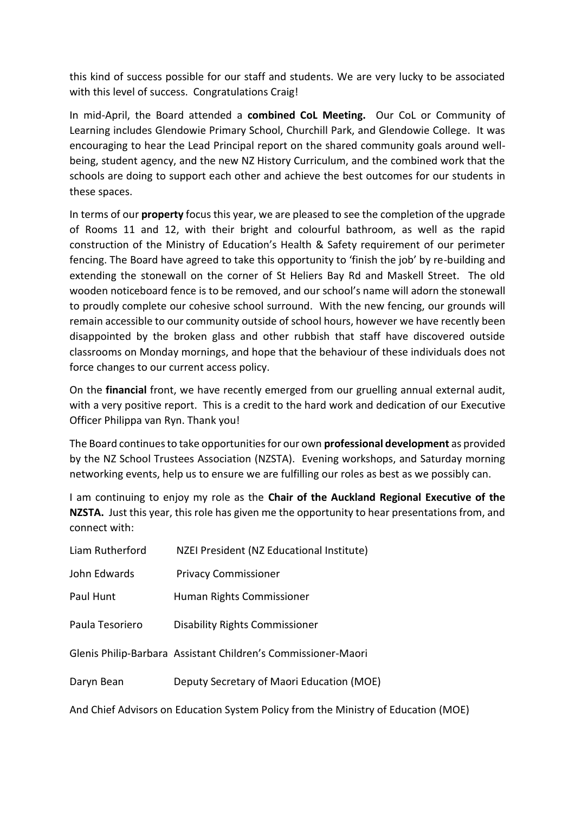this kind of success possible for our staff and students. We are very lucky to be associated with this level of success. Congratulations Craig!

In mid-April, the Board attended a **combined CoL Meeting.** Our CoL or Community of Learning includes Glendowie Primary School, Churchill Park, and Glendowie College. It was encouraging to hear the Lead Principal report on the shared community goals around wellbeing, student agency, and the new NZ History Curriculum, and the combined work that the schools are doing to support each other and achieve the best outcomes for our students in these spaces.

In terms of our **property** focus this year, we are pleased to see the completion of the upgrade of Rooms 11 and 12, with their bright and colourful bathroom, as well as the rapid construction of the Ministry of Education's Health & Safety requirement of our perimeter fencing. The Board have agreed to take this opportunity to 'finish the job' by re-building and extending the stonewall on the corner of St Heliers Bay Rd and Maskell Street. The old wooden noticeboard fence is to be removed, and our school's name will adorn the stonewall to proudly complete our cohesive school surround. With the new fencing, our grounds will remain accessible to our community outside of school hours, however we have recently been disappointed by the broken glass and other rubbish that staff have discovered outside classrooms on Monday mornings, and hope that the behaviour of these individuals does not force changes to our current access policy.

On the **financial** front, we have recently emerged from our gruelling annual external audit, with a very positive report. This is a credit to the hard work and dedication of our Executive Officer Philippa van Ryn. Thank you!

The Board continues to take opportunities for our own **professional development** as provided by the NZ School Trustees Association (NZSTA). Evening workshops, and Saturday morning networking events, help us to ensure we are fulfilling our roles as best as we possibly can.

I am continuing to enjoy my role as the **Chair of the Auckland Regional Executive of the NZSTA.** Just this year, this role has given me the opportunity to hear presentations from, and connect with:

| Liam Rutherford | NZEI President (NZ Educational Institute)                                          |
|-----------------|------------------------------------------------------------------------------------|
| John Edwards    | <b>Privacy Commissioner</b>                                                        |
| Paul Hunt       | Human Rights Commissioner                                                          |
| Paula Tesoriero | <b>Disability Rights Commissioner</b>                                              |
|                 | Glenis Philip-Barbara Assistant Children's Commissioner-Maori                      |
| Daryn Bean      | Deputy Secretary of Maori Education (MOE)                                          |
|                 | And Chief Advisors on Education System Policy from the Ministry of Education (MOE) |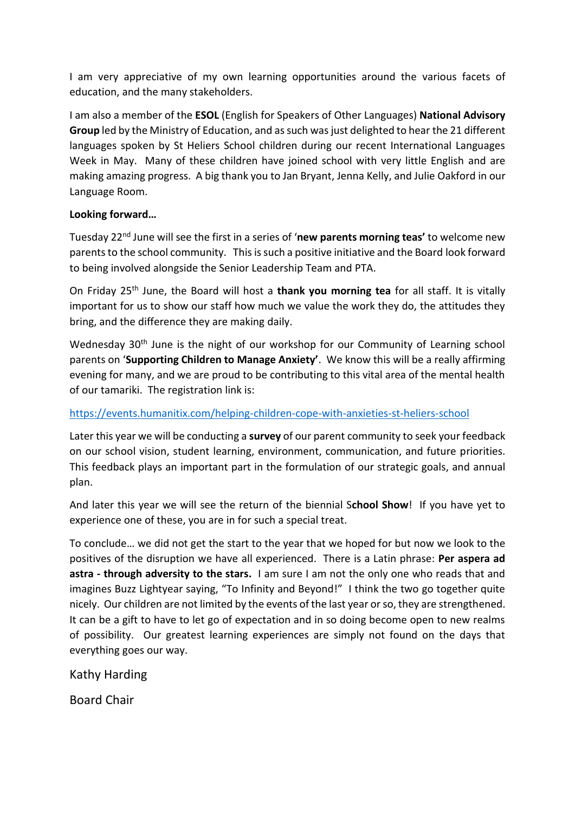I am very appreciative of my own learning opportunities around the various facets of education, and the many stakeholders.

I am also a member of the **ESOL** (English for Speakers of Other Languages) **National Advisory Group** led by the Ministry of Education, and as such was just delighted to hear the 21 different languages spoken by St Heliers School children during our recent International Languages Week in May. Many of these children have joined school with very little English and are making amazing progress. A big thank you to Jan Bryant, Jenna Kelly, and Julie Oakford in our Language Room.

## **Looking forward…**

Tuesday 22nd June will see the first in a series of '**new parents morning teas'** to welcome new parents to the school community. This is such a positive initiative and the Board look forward to being involved alongside the Senior Leadership Team and PTA.

On Friday 25th June, the Board will host a **thank you morning tea** for all staff. It is vitally important for us to show our staff how much we value the work they do, the attitudes they bring, and the difference they are making daily.

Wednesday 30<sup>th</sup> June is the night of our workshop for our Community of Learning school parents on '**Supporting Children to Manage Anxiety'**. We know this will be a really affirming evening for many, and we are proud to be contributing to this vital area of the mental health of our tamariki. The registration link is:

## <https://events.humanitix.com/helping-children-cope-with-anxieties-st-heliers-school>

Later this year we will be conducting a **survey** of our parent community to seek your feedback on our school vision, student learning, environment, communication, and future priorities. This feedback plays an important part in the formulation of our strategic goals, and annual plan.

And later this year we will see the return of the biennial S**chool Show**! If you have yet to experience one of these, you are in for such a special treat.

To conclude… we did not get the start to the year that we hoped for but now we look to the positives of the disruption we have all experienced. There is a Latin phrase: **Per aspera ad astra - through adversity to the stars.** I am sure I am not the only one who reads that and imagines Buzz Lightyear saying, "To Infinity and Beyond!" I think the two go together quite nicely. Our children are not limited by the events of the last year or so, they are strengthened. It can be a gift to have to let go of expectation and in so doing become open to new realms of possibility. Our greatest learning experiences are simply not found on the days that everything goes our way.

Kathy Harding

Board Chair